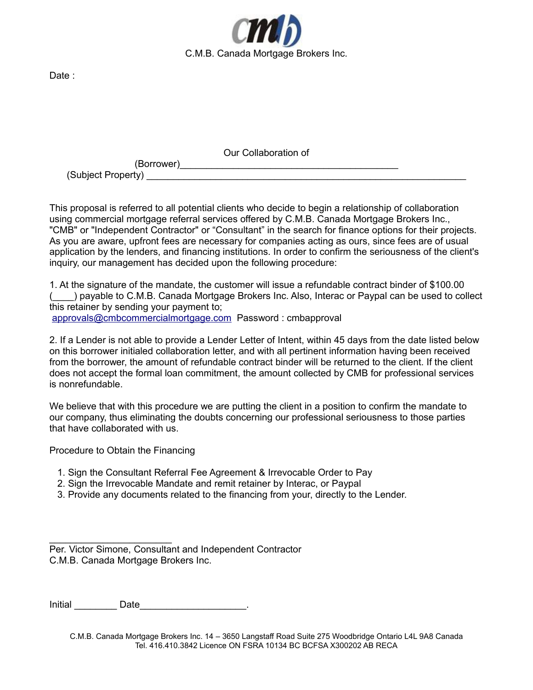

Date :

Our Collaboration of

(Borrower) (Subject Property)

This proposal is referred to all potential clients who decide to begin a relationship of collaboration using commercial mortgage referral services offered by C.M.B. Canada Mortgage Brokers Inc., "CMB" or "Independent Contractor" or "Consultant" in the search for finance options for their projects. As you are aware, upfront fees are necessary for companies acting as ours, since fees are of usual application by the lenders, and financing institutions. In order to confirm the seriousness of the client's inquiry, our management has decided upon the following procedure:

1. At the signature of the mandate, the customer will issue a refundable contract binder of \$100.00 (\_\_\_\_) payable to C.M.B. Canada Mortgage Brokers Inc. Also, Interac or Paypal can be used to collect this retainer by sending your payment to;

[approvals@cmbcommercialmortgage.com](mailto:approvals@cmbcommercialmortgage.com) Password : cmbapproval

2. If a Lender is not able to provide a Lender Letter of Intent, within 45 days from the date listed below on this borrower initialed collaboration letter, and with all pertinent information having been received from the borrower, the amount of refundable contract binder will be returned to the client. If the client does not accept the formal loan commitment, the amount collected by CMB for professional services is nonrefundable.

We believe that with this procedure we are putting the client in a position to confirm the mandate to our company, thus eliminating the doubts concerning our professional seriousness to those parties that have collaborated with us.

Procedure to Obtain the Financing

- 1. Sign the Consultant Referral Fee Agreement & Irrevocable Order to Pay
- 2. Sign the Irrevocable Mandate and remit retainer by Interac, or Paypal
- 3. Provide any documents related to the financing from your, directly to the Lender.

 $\mathcal{L}=\{1,2,3,4,5\}$ Per. Victor Simone, Consultant and Independent Contractor C.M.B. Canada Mortgage Brokers Inc.

Initial Date Date and Date in the set of the set of the set of the set of the set of the set of the set of the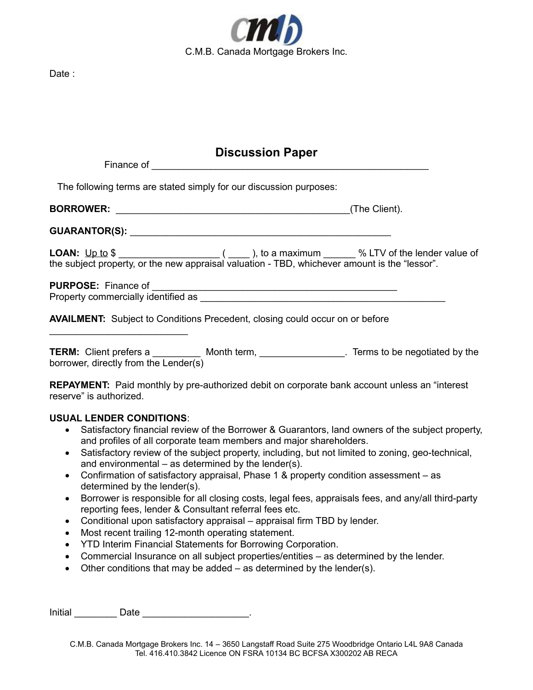

## **Discussion Paper**

|                                       | The following terms are stated simply for our discussion purposes:                                    |               |
|---------------------------------------|-------------------------------------------------------------------------------------------------------|---------------|
|                                       |                                                                                                       | (The Client). |
|                                       |                                                                                                       |               |
|                                       | the subject property, or the new appraisal valuation - TBD, whichever amount is the "lessor".         |               |
|                                       |                                                                                                       |               |
|                                       |                                                                                                       |               |
|                                       | <b>AVAILMENT:</b> Subject to Conditions Precedent, closing could occur on or before                   |               |
| borrower, directly from the Lender(s) | TERM: Client prefers a ____________ Month term, __________________. Terms to be negotiated by the     |               |
| reserve" is authorized.               | <b>REPAYMENT:</b> Paid monthly by pre-authorized debit on corporate bank account unless an "interest" |               |
| <b>USUAL LENDER CONDITIONS:</b>       |                                                                                                       |               |

- Satisfactory financial review of the Borrower & Guarantors, land owners of the subject property, and profiles of all corporate team members and major shareholders.
- Satisfactory review of the subject property, including, but not limited to zoning, geo-technical, and environmental – as determined by the lender(s).
- Confirmation of satisfactory appraisal, Phase 1 & property condition assessment as determined by the lender(s).
- Borrower is responsible for all closing costs, legal fees, appraisals fees, and any/all third-party reporting fees, lender & Consultant referral fees etc.
- Conditional upon satisfactory appraisal appraisal firm TBD by lender.
- Most recent trailing 12-month operating statement.
- YTD Interim Financial Statements for Borrowing Corporation.
- Commercial Insurance on all subject properties/entities as determined by the lender.
- $\bullet$  Other conditions that may be added as determined by the lender(s).

Initial **Date Date Contains Except Contains Container Contains Contains Contains Contains Contains Contains Contains Contains Contains Contains Contains Contains Contains Contains Contains Contains Contains Contains**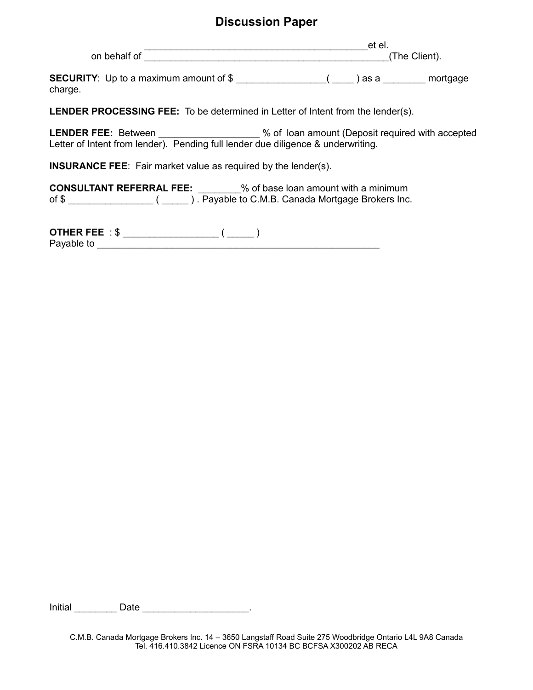## **Discussion Paper**

\_\_\_\_\_\_\_\_\_\_\_\_\_\_\_\_\_\_\_\_\_\_\_\_\_\_\_\_\_\_\_\_\_\_\_\_\_\_\_\_\_\_et el. on behalf of Government of The Client).

**SECURITY**: Up to a maximum amount of \$ \_\_\_\_\_\_\_\_\_\_\_\_\_\_\_\_\_( \_\_\_\_ ) as a \_\_\_\_\_\_\_\_ mortgage charge.

**LENDER PROCESSING FEE:** To be determined in Letter of Intent from the lender(s).

LENDER FEE: Between \_\_\_\_\_\_\_\_\_\_\_\_\_\_\_\_\_ % of loan amount (Deposit required with accepted Letter of Intent from lender). Pending full lender due diligence & underwriting.

**INSURANCE FEE**: Fair market value as required by the lender(s).

**CONSULTANT REFERRAL FEE:** \_\_\_\_\_\_\_\_% of base loan amount with a minimum of \$ \_\_\_\_\_\_\_\_\_\_\_\_\_\_\_\_ ( \_\_\_\_\_ ) . Payable to C.M.B. Canada Mortgage Brokers Inc.

**OTHER FEE** : \$ \_\_\_\_\_\_\_\_\_\_\_\_\_\_\_\_\_\_ ( \_\_\_\_\_ ) Payable to \_\_\_\_\_\_\_\_\_\_\_\_\_\_\_\_\_\_\_\_\_\_\_\_\_\_\_\_\_\_\_\_\_\_\_\_\_\_\_\_\_\_\_\_\_\_\_\_\_\_\_\_\_

Initial **Date Date Contained Blue Date Contained Blue Date Contained Blue Date Contained Blue Date Contained Blue Date Contained Blue Date Contained Blue Date Contained Blue Date Contained Blue Date C**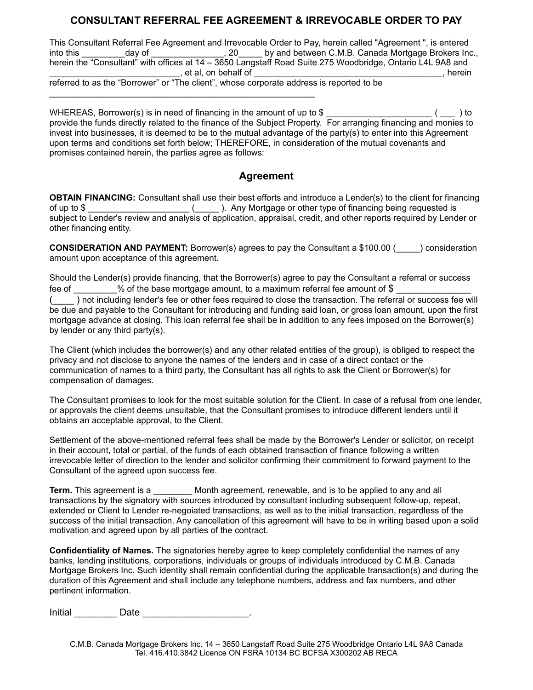## **CONSULTANT REFERRAL FEE AGREEMENT & IRREVOCABLE ORDER TO PAY**

This Consultant Referral Fee Agreement and Irrevocable Order to Pay, herein called "Agreement ", is entered into this \_\_\_\_\_\_\_\_\_day of \_\_\_\_\_\_\_\_\_\_\_\_\_\_\_, 20\_\_\_\_\_\_ by and between C.M.B. Canada Mortgage Brokers Inc., herein the "Consultant" with offices at 14 – 3650 Langstaff Road Suite 275 Woodbridge, Ontario L4L 9A8 and  $,$  et al, on behalf of  $\overline{\phantom{a}}$ referred to as the "Borrower" or "The client", whose corporate address is reported to be

WHEREAS, Borrower(s) is in need of financing in the amount of up to \$ \_\_\_\_\_\_\_\_\_\_\_\_\_\_\_\_\_\_\_\_\_\_ ( \_\_\_ ) to provide the funds directly related to the finance of the Subject Property. For arranging financing and monies to invest into businesses, it is deemed to be to the mutual advantage of the party(s) to enter into this Agreement upon terms and conditions set forth below; THEREFORE, in consideration of the mutual covenants and promises contained herein, the parties agree as follows:

## **Agreement**

**OBTAIN FINANCING:** Consultant shall use their best efforts and introduce a Lender(s) to the client for financing of up to \$ \_\_\_\_\_\_\_\_\_\_\_\_\_\_\_\_\_\_\_\_\_ (\_\_\_\_\_ ). Any Mortgage or other type of financing being requested is subject to Lender's review and analysis of application, appraisal, credit, and other reports required by Lender or other financing entity.

**CONSIDERATION AND PAYMENT:** Borrower(s) agrees to pay the Consultant a \$100.00 (equal onsideration amount upon acceptance of this agreement.

Should the Lender(s) provide financing, that the Borrower(s) agree to pay the Consultant a referral or success fee of \_\_\_\_\_\_\_\_\_% of the base mortgage amount, to a maximum referral fee amount of \$

(  $\Box$ ) not including lender's fee or other fees required to close the transaction. The referral or success fee will be due and payable to the Consultant for introducing and funding said loan, or gross loan amount, upon the first mortgage advance at closing. This loan referral fee shall be in addition to any fees imposed on the Borrower(s) by lender or any third party(s).

The Client (which includes the borrower(s) and any other related entities of the group), is obliged to respect the privacy and not disclose to anyone the names of the lenders and in case of a direct contact or the communication of names to a third party, the Consultant has all rights to ask the Client or Borrower(s) for compensation of damages.

The Consultant promises to look for the most suitable solution for the Client. In case of a refusal from one lender, or approvals the client deems unsuitable, that the Consultant promises to introduce different lenders until it obtains an acceptable approval, to the Client.

Settlement of the above-mentioned referral fees shall be made by the Borrower's Lender or solicitor, on receipt in their account, total or partial, of the funds of each obtained transaction of finance following a written irrevocable letter of direction to the lender and solicitor confirming their commitment to forward payment to the Consultant of the agreed upon success fee.

**Term.** This agreement is a *Month agreement, renewable, and is to be applied to any and all* transactions by the signatory with sources introduced by consultant including subsequent follow-up, repeat, extended or Client to Lender re-negoiated transactions, as well as to the initial transaction, regardless of the success of the initial transaction. Any cancellation of this agreement will have to be in writing based upon a solid motivation and agreed upon by all parties of the contract.

**Confidentiality of Names.** The signatories hereby agree to keep completely confidential the names of any banks, lending institutions, corporations, individuals or groups of individuals introduced by C.M.B. Canada Mortgage Brokers Inc. Such identity shall remain confidential during the applicable transaction(s) and during the duration of this Agreement and shall include any telephone numbers, address and fax numbers, and other pertinent information.

Initial **Date Date Contains Except Contains Container Contains Contains Contains Contains Contains Contains Contains Contains Contains Contains Contains Contains Contains Contains Contains Contains Contains Contains**